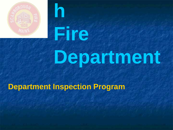

# **Fire**

**h**

## **Department**

#### **Department Inspection Program**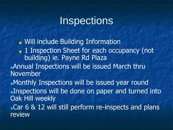#### **Inspections**

■ Will include Building Information ■ 1 Inspection Sheet for each occupancy (not building) ie. Payne Rd Plaza ■Annual Inspections will be issued March thru November ■Monthly Inspections will be issued year round ■Inspections will be done on paper and turned into Oak Hill weekly ■Car 6 & 12 will still perform re-inspects and plans review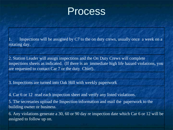#### **Process**

Inspections will be assigned by  $C7$  to the on duty crews, usually once a week on a rotating day.

2. Station Leader will assign inspections and the On Duty Crews will complete inspections sheets as indicated. (If there is an immediate high life hazard violations, you are requested to contact Car 7 or the duty Chief).

3. Inspections are turned into Oak Hill with weekly paperwork

4. Car 6 or 12 read each inspection sheet and verify any listed violations.

5. The secretaries upload the Inspection information and mail the paperwork to the building owner or business.

6. Any violations generate a 30, 60 or 90 day re inspection date which Car 6 or 12 will be assigned to follow up on.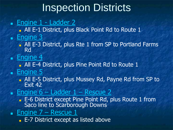### Inspection Districts

#### ■ Engine 1 - Ladder 2

**All E-1 District, plus Black Point Rd to Route 1** ■ Engine 3

- All E-3 District, plus Rte 1 from SP to Portland Farms Rd
- Engine 4
- **All E-4 District, plus Pine Point Rd to Route 1** ■ Engine 5
	- All E-5 District, plus Mussey Rd, Payne Rd from SP to Exit 42
- **Engine**  $6$  **Ladder**  $1$  **Rescue 2** 
	- E-6 District except Pine Point Rd, plus Route 1 from Saco line to Scarborough Downs
- **Engine**  $7 -$  **Rescue 1**

■ E-7 District except as listed above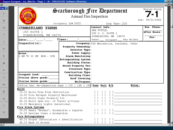| <b>A</b> Report Designer - ins 9lwi.frx - Page 1 - fh - FIREHOUSE Software (Remote)                              |                                                                                                                                                                                                                                                                                                                                                                                         |                                                 |                 |
|------------------------------------------------------------------------------------------------------------------|-----------------------------------------------------------------------------------------------------------------------------------------------------------------------------------------------------------------------------------------------------------------------------------------------------------------------------------------------------------------------------------------|-------------------------------------------------|-----------------|
|                                                                                                                  |                                                                                                                                                                                                                                                                                                                                                                                         | Scarborough Pire Department                     | Engine-Group    |
|                                                                                                                  |                                                                                                                                                                                                                                                                                                                                                                                         |                                                 |                 |
|                                                                                                                  |                                                                                                                                                                                                                                                                                                                                                                                         | Annual Fire Inspection                          |                 |
|                                                                                                                  |                                                                                                                                                                                                                                                                                                                                                                                         |                                                 | Due: 08/01/2006 |
|                                                                                                                  | Occupancy ID# 3605                                                                                                                                                                                                                                                                                                                                                                      | Insp Type: 200                                  |                 |
| <b>CUMBERLAND FARMS</b>                                                                                          |                                                                                                                                                                                                                                                                                                                                                                                         | Contact Info:                                   | Bus. Phone:     |
| 245 ROUTE 1                                                                                                      |                                                                                                                                                                                                                                                                                                                                                                                         | KEN TUTTLE,<br>245 U.S. ROUTE 1                 | After Hours:    |
| SCARBOROUGH, ME 04074                                                                                            |                                                                                                                                                                                                                                                                                                                                                                                         |                                                 |                 |
|                                                                                                                  |                                                                                                                                                                                                                                                                                                                                                                                         | SCARBOROUGH, ME 04074                           | Fax:            |
|                                                                                                                  | Times: $\sqrt{ \frac{2}{2} \frac{1}{2} \frac{1}{2} \frac{1}{2} \frac{1}{2} \frac{1}{2} \frac{1}{2} \frac{1}{2} \frac{1}{2} \frac{1}{2} \frac{1}{2} \frac{1}{2} \frac{1}{2} \frac{1}{2} \frac{1}{2} \frac{1}{2} \frac{1}{2} \frac{1}{2} \frac{1}{2} \frac{1}{2} \frac{1}{2} \frac{1}{2} \frac{1}{2} \frac{1}{2} \frac{1}{2} \frac{1}{2} \frac{1}{2} \frac{1}{2} \frac{1}{2} \frac{1}{2}$ | Owner ___ Occupant ___ Key Holder_              |                 |
| $Inspector(s)$ :                                                                                                 |                                                                                                                                                                                                                                                                                                                                                                                         | Occupancy: 500 Mercantile, business, Other      |                 |
|                                                                                                                  | Property Ownership:<br>Detector Type:                                                                                                                                                                                                                                                                                                                                                   |                                                 |                 |
|                                                                                                                  | Power Supply:                                                                                                                                                                                                                                                                                                                                                                           |                                                 |                 |
| Notes:<br>6 AM TO 12 PM MON - SUN                                                                                | Alarm Monitoring:                                                                                                                                                                                                                                                                                                                                                                       |                                                 |                 |
|                                                                                                                  | Extinguishing System:                                                                                                                                                                                                                                                                                                                                                                   |                                                 |                 |
|                                                                                                                  | <b>Building Status:</b>                                                                                                                                                                                                                                                                                                                                                                 |                                                 |                 |
|                                                                                                                  | Mixed Property Use:                                                                                                                                                                                                                                                                                                                                                                     |                                                 |                 |
|                                                                                                                  | Structure Type:                                                                                                                                                                                                                                                                                                                                                                         |                                                 |                 |
|                                                                                                                  | Construction Type:                                                                                                                                                                                                                                                                                                                                                                      |                                                 |                 |
|                                                                                                                  | <b>Building Class:</b>                                                                                                                                                                                                                                                                                                                                                                  |                                                 |                 |
|                                                                                                                  |                                                                                                                                                                                                                                                                                                                                                                                         |                                                 |                 |
|                                                                                                                  |                                                                                                                                                                                                                                                                                                                                                                                         |                                                 |                 |
| Office Use: Re-Inspection Days [ ]30 [ ]60 [ ]90 Pass Fail N/A                                                   |                                                                                                                                                                                                                                                                                                                                                                                         | Notes:                                          |                 |
| Exits                                                                                                            |                                                                                                                                                                                                                                                                                                                                                                                         | $[1]$                                           |                 |
| 10.15 Exits Free From Obstruction<br>10.05 Fire Escapes Properly Maintained [ ] [ ]                              |                                                                                                                                                                                                                                                                                                                                                                                         |                                                 |                 |
|                                                                                                                  |                                                                                                                                                                                                                                                                                                                                                                                         |                                                 |                 |
| 10.20 Exits Signs Properly Lit<br>80.10 Exits Open Dir. of Travel w/Closer<br>10.25 Emergency Lights Operational |                                                                                                                                                                                                                                                                                                                                                                                         |                                                 |                 |
|                                                                                                                  |                                                                                                                                                                                                                                                                                                                                                                                         | $\begin{array}{ccc} & 1 & 1 \\ & & \end{array}$ |                 |
| Fire Alarm Systems                                                                                               |                                                                                                                                                                                                                                                                                                                                                                                         |                                                 |                 |
| 20.25 Panel "Normal", Accessible & Legible [ ] [ ]<br>20.30 Devices Clear & Accessible [ ] [ ]                   |                                                                                                                                                                                                                                                                                                                                                                                         |                                                 |                 |
| Fire Extinguishers                                                                                               |                                                                                                                                                                                                                                                                                                                                                                                         |                                                 |                 |
|                                                                                                                  |                                                                                                                                                                                                                                                                                                                                                                                         |                                                 |                 |
| 40.10 Ease of Access                                                                                             |                                                                                                                                                                                                                                                                                                                                                                                         | [1]                                             |                 |
|                                                                                                                  |                                                                                                                                                                                                                                                                                                                                                                                         |                                                 |                 |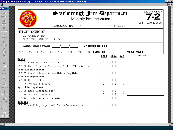$\boxed{2}$ Sche  $\frac{1}{2}$ nvento  $\triangleq$ **Hydra**  $\left\langle \frac{\partial \mathbf{F}}{\partial \mathbf{r}}\right\rangle$ Accou  $\boxed{\frac{1}{100}}$ Invoic Journal

 $\overline{\mathbf{E}}$ 

|                                            | <b>A</b> Report Designer - ins_9jil.frx - Page 1 - fh - FIREHOUSE Software (Remote) |                                  |                                        |  |                                                                                                                                                                                                                               |  |
|--------------------------------------------|-------------------------------------------------------------------------------------|----------------------------------|----------------------------------------|--|-------------------------------------------------------------------------------------------------------------------------------------------------------------------------------------------------------------------------------|--|
|                                            |                                                                                     |                                  |                                        |  |                                                                                                                                                                                                                               |  |
| OROUGA                                     | $\mathfrak{S}$ carborough Pire Department                                           |                                  |                                        |  | Engine-Group                                                                                                                                                                                                                  |  |
|                                            | Monthly Fire Inspection                                                             |                                  |                                        |  |                                                                                                                                                                                                                               |  |
|                                            |                                                                                     |                                  |                                        |  | Due: 01/01/2006                                                                                                                                                                                                               |  |
|                                            | Occupancy ID#3897<br>Insp Type: 210                                                 |                                  |                                        |  |                                                                                                                                                                                                                               |  |
| <b>HIGH SCHOOL</b><br>20 GORHAM RD         | SCARBOROUGH, ME 04074                                                               |                                  |                                        |  |                                                                                                                                                                                                                               |  |
|                                            | Date Inspected: $\frac{1}{\sqrt{1-\frac{1}{2}}}$                                    |                                  |                                        |  |                                                                                                                                                                                                                               |  |
|                                            |                                                                                     |                                  |                                        |  |                                                                                                                                                                                                                               |  |
|                                            | Office Use: Re-Inspection Days [ ]30 [ ]60 [ ]90 <b>Time In:</b> ________           |                                  |                                        |  | Time Out:<br>Notes:                                                                                                                                                                                                           |  |
| Exits                                      |                                                                                     |                                  | <b>Pass Fail N/A</b>                   |  |                                                                                                                                                                                                                               |  |
|                                            | 10.05 Free From Obstruction                                                         |                                  |                                        |  |                                                                                                                                                                                                                               |  |
|                                            | 10.20 Exit Signs & Emergency Lights Illuminated                                     |                                  |                                        |  |                                                                                                                                                                                                                               |  |
| Fire Alarm Systems                         |                                                                                     |                                  |                                        |  |                                                                                                                                                                                                                               |  |
|                                            | 20.25 Panel Clear, Accessible & Legible                                             |                                  |                                        |  |                                                                                                                                                                                                                               |  |
| Fire Extinguishers                         |                                                                                     |                                  |                                        |  |                                                                                                                                                                                                                               |  |
|                                            | 40.10 Ease of Access                                                                |                                  |                                        |  | $[1]$ $[1]$ $[1]$ $[$ $[$ $]$ $[$ $]$ $[$ $]$ $[$ $]$ $[$ $]$ $[$ $]$ $[$ $]$ $[$ $]$ $[$ $]$ $[$ $]$ $[$ $]$ $[$ $]$ $[$ $]$ $[$ $]$ $[$ $]$ $[$ $]$ $[$ $]$ $[$ $]$ $[$ $]$ $[$ $]$ $[$ $]$ $[$ $]$ $[$ $]$ $[$ $]$ $[$ $]$ |  |
| 40.05 Tested & Tagged<br>Sprinkler Systems |                                                                                     |                                  |                                        |  |                                                                                                                                                                                                                               |  |
|                                            | 30.05 Head Clerance >18"                                                            | $\begin{array}{ccc} \end{array}$ |                                        |  |                                                                                                                                                                                                                               |  |
|                                            | 30.20 Tested & Tagged                                                               |                                  | $[\ ]$                                 |  |                                                                                                                                                                                                                               |  |
|                                            | 30.30 Sprinkler Room Labeled                                                        |                                  | $\begin{bmatrix} 1 \\ 1 \end{bmatrix}$ |  |                                                                                                                                                                                                                               |  |
|                                            |                                                                                     |                                  |                                        |  |                                                                                                                                                                                                                               |  |
| General                                    |                                                                                     |                                  |                                        |  |                                                                                                                                                                                                                               |  |

 $\frac{1}{2}$